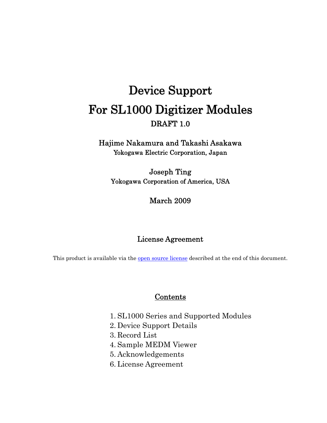# Device Support For SL1000 Digitizer Modules DRAFT 1.0

Hajime Nakamura and Takashi Asakawa Yokogawa Electric Corporation, Japan

Joseph Ting Yokogawa Corporation of America, USA

#### March 2009

#### License Agreement

This product is available via the open source license described at the end of this document.

#### Contents

- 1. SL1000 Series and Supported Modules
- 2. Device Support Details
- 3. Record List
- 4. Sample MEDM Viewer
- 5. Acknowledgements
- 6. License Agreement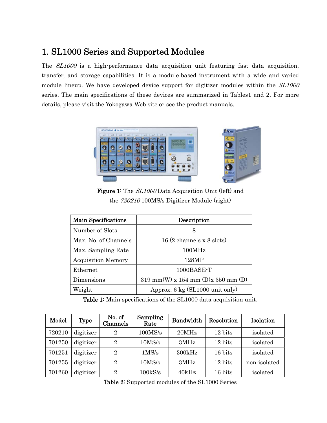# 1. SL1000 Series and Supported Modules

The *SL1000* is a high-performance data acquisition unit featuring fast data acquisition, transfer, and storage capabilities. It is a module-based instrument with a wide and varied module lineup. We have developed device support for digitizer modules within the  $SL1000$ series. The main specifications of these devices are summarized in Tables1 and 2. For more details, please visit the Yokogawa Web site or see the product manuals.



Figure 1: The  $SL1000$  Data Acquisition Unit (left) and the 720210 100MS/s Digitizer Module (right)

| <b>Main Specifications</b> | Description                                 |
|----------------------------|---------------------------------------------|
| Number of Slots            | 8                                           |
| Max. No. of Channels       | $16(2 \text{ channels } x \text{ 8 slots})$ |
| Max. Sampling Rate         | 100MHz                                      |
| <b>Acquisition Memory</b>  | 128MP                                       |
| Ethernet                   | 1000BASE-T                                  |
| Dimensions                 | $319$ mm(W) x $154$ mm (D)x $350$ mm (D)    |
| Weight                     | Approx. 6 kg (SL1000 unit only)             |

Table 1: Main specifications of the SL1000 data acquisition unit.

| Model  | Type      | No. of<br>Channels | Sampling<br>Rate   | Bandwidth | Resolution | Isolation    |
|--------|-----------|--------------------|--------------------|-----------|------------|--------------|
| 720210 | digitizer | $\overline{2}$     | 100MS/s            | 20MHz     | 12 bits    | isolated     |
| 701250 | digitizer | $\overline{2}$     | 10 <sub>MS/s</sub> | 3MHz      | 12 bits    | isolated     |
| 701251 | digitizer | $\overline{2}$     | 1MS/s              | 300kHz    | 16 bits    | isolated     |
| 701255 | digitizer | $\overline{2}$     | 10 <sub>MS/s</sub> | 3MHz      | 12 bits    | non-isolated |
| 701260 | digitizer | $\overline{2}$     | $100$ k $S/s$      | 40kHz     | 16 bits    | isolated     |

Table 2: Supported modules of the SL1000 Series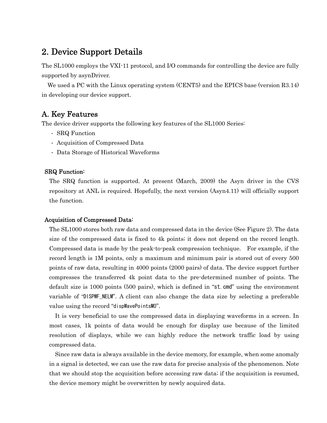# 2. Device Support Details

The SL1000 employs the VXI-11 protocol, and I/O commands for controlling the device are fully supported by asynDriver.

We used a PC with the Linux operating system (CENT5) and the EPICS base (version R3.14) in developing our device support.

#### A. Key Features

The device driver supports the following key features of the SL1000 Series:

- SRQ Function
- Acquisition of Compressed Data
- Data Storage of Historical Waveforms

#### SRQ Function:

The SRQ function is supported. At present (March, 2009) the Asyn driver in the CVS repository at ANL is required. Hopefully, the next version (Asyn4.11) will officially support the function.

#### Acquisition of Compressed Data:

The SL1000 stores both raw data and compressed data in the device (See Figure 2). The data size of the compressed data is fixed to 4k points; it does not depend on the record length. Compressed data is made by the peak-to-peak compression technique. For example, if the record length is 1M points, only a maximum and minimum pair is stored out of every 500 points of raw data, resulting in 4000 points (2000 pairs) of data. The device support further compresses the transferred 4k point data to the pre-determined number of points. The default size is 1000 points (500 pairs), which is defined in "st.cmd" using the environment variable of "DISPWF\_NELM". A client can also change the data size by selecting a preferable value using the record "dispWavePointsMO".

It is very beneficial to use the compressed data in displaying waveforms in a screen. In most cases, 1k points of data would be enough for display use because of the limited resolution of displays, while we can highly reduce the network traffic load by using compressed data.

Since raw data is always available in the device memory, for example, when some anomaly in a signal is detected, we can use the raw data for precise analysis of the phenomenon. Note that we should stop the acquisition before accessing raw data; if the acquisition is resumed, the device memory might be overwritten by newly acquired data.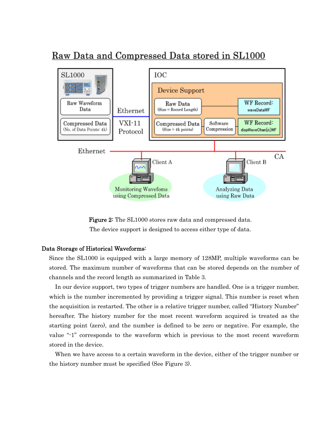# Raw Data and Compressed Data stored in SL1000



Figure 2: The SL1000 stores raw data and compressed data. The device support is designed to access either type of data.

#### Data Storage of Historical Waveforms:

Since the SL1000 is equipped with a large memory of 128MP, multiple waveforms can be stored. The maximum number of waveforms that can be stored depends on the number of channels and the record length as summarized in Table 3.

In our device support, two types of trigger numbers are handled. One is a trigger number, which is the number incremented by providing a trigger signal. This number is reset when the acquisition is restarted. The other is a relative trigger number, called "History Number" hereafter. The history number for the most recent waveform acquired is treated as the starting point (zero), and the number is defined to be zero or negative. For example, the value "-1" corresponds to the waveform which is previous to the most recent waveform stored in the device.

 When we have access to a certain waveform in the device, either of the trigger number or the history number must be specified (See Figure 3).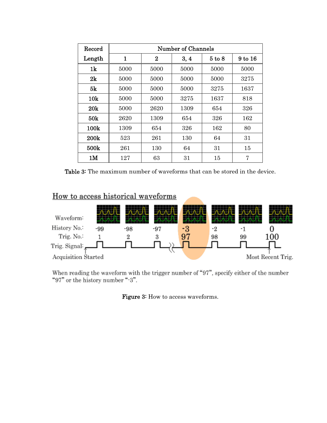| Record          | Number of Channels |          |      |            |         |
|-----------------|--------------------|----------|------|------------|---------|
| Length          | 1                  | $\bf{2}$ | 3, 4 | $5$ to $8$ | 9 to 16 |
| 1 <sub>k</sub>  | 5000               | 5000     | 5000 | 5000       | 5000    |
| 2k              | 5000               | 5000     | 5000 | 5000       | 3275    |
| 5k              | 5000               | 5000     | 5000 | 3275       | 1637    |
| 10 <sub>k</sub> | 5000               | 5000     | 3275 | 1637       | 818     |
| 20k             | 5000               | 2620     | 1309 | 654        | 326     |
| 50k             | 2620               | 1309     | 654  | 326        | 162     |
| 100k            | 1309               | 654      | 326  | 162        | 80      |
| 200k            | 523                | 261      | 130  | 64         | 31      |
| 500k            | 261                | 130      | 64   | 31         | 15      |
| 1M              | 127                | 63       | 31   | 15         | 7       |

Table 3: The maximum number of waveforms that can be stored in the device.

#### How to access historical waveforms



When reading the waveform with the trigger number of "97", specify either of the number "97" or the history number "-3".

#### Figure 3: How to access waveforms.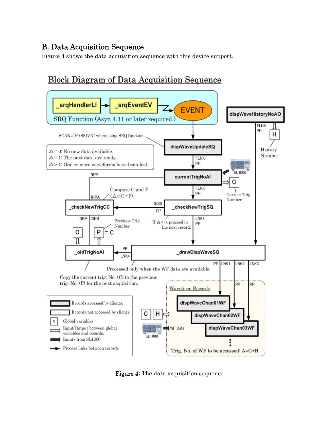#### B. Data Acquisition Sequence

Figure 4 shows the data acquisition sequence with this device support.

# **Block Diagram of Data Acquisition Sequence**



Figure 4: The data acquisition sequence.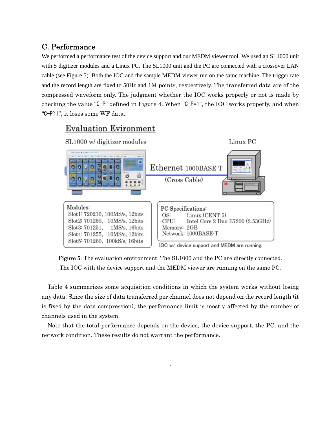#### C. Performance

We performed a performance test of the device support and our MEDM viewer tool. We used an SL1000 unit with 5 digitizer modules and a Linux PC. The SL1000 unit and the PC are connected with a crossover LAN cable (see Figure 5). Both the IOC and the sample MEDM viewer run on the same machine. The trigger rate and the record length are fixed to 50Hz and 1M points, respectively. The transferred data are of the compressed waveform only. The judgment whether the IOC works properly or not is made by checking the value "C-P" defined in Figure 4. When "C-P=1", the IOC works properly, and when "C-P>1", it loses some WF data.

## **Evaluation Evironment**



Figure 5: The evaluation environment. The SL1000 and the PC are directly connected. The IOC with the device support and the MEDM viewer are running on the same PC.

Table 4 summarizes some acquisition conditions in which the system works without losing any data. Since the size of data transferred per channel does not depend on the record length (it is fixed by the data compression), the performance limit is mostly affected by the number of channels used in the system.

Note that the total performance depends on the device, the device support, the PC, and the network condition. These results do not warrant the performance.

.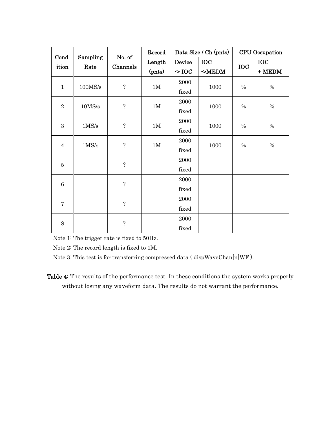| Cond-        |                  | No. of             | Record | Data Size / Ch (pnts) |            |            | <b>CPU</b> Occupation |
|--------------|------------------|--------------------|--------|-----------------------|------------|------------|-----------------------|
| ition        | Sampling<br>Rate | Channels           | Length | Device                | <b>IOC</b> | <b>IOC</b> | <b>IOC</b>            |
|              |                  |                    | (pnts) | $\sim$ IOC            | $-MEDM$    |            | $+$ MEDM              |
| $\mathbf{1}$ | 100MS/s          | $\dot{\mathbf{c}}$ | 1M     | 2000                  | 1000       | $\%$       | $\%$                  |
|              |                  |                    |        | fixed                 |            |            |                       |
| $\sqrt{2}$   | $10\text{MS/s}$  | $\ddot{.}$         | 1M     | 2000                  |            | $\%$       | $\%$                  |
|              |                  |                    |        | fixed                 | 1000       |            |                       |
|              |                  | $\ddot{?}$         | 1M     | 2000                  | 1000       | $\%$       |                       |
|              | 3<br>1MS/s       |                    |        | fixed                 |            |            | $\%$                  |
|              |                  | $\ddot{?}$         |        | 2000                  |            | $\%$       | $\%$                  |
| $\sqrt{4}$   | 1MS/s            |                    | 1M     | fixed                 | 1000       |            |                       |
| $\bf 5$      |                  | $\ddot{?}$         |        | 2000                  |            |            |                       |
|              |                  |                    |        | fixed                 |            |            |                       |
| $\,6$        |                  | $\overline{?}$     |        | 2000                  |            |            |                       |
|              |                  |                    |        | fixed                 |            |            |                       |
| $\bf 7$      |                  | $\dot{.}$          |        | 2000                  |            |            |                       |
|              |                  | fixed              |        |                       |            |            |                       |
| 8            | 2000             |                    |        |                       |            |            |                       |
|              |                  | $\ddot{?}$         |        | fixed                 |            |            |                       |

Note 1: The trigger rate is fixed to 50Hz.

Note 2: The record length is fixed to 1M.

Note 3: This test is for transferring compressed data ( dispWaveChan[n]WF ).

Table 4: The results of the performance test. In these conditions the system works properly without losing any waveform data. The results do not warrant the performance.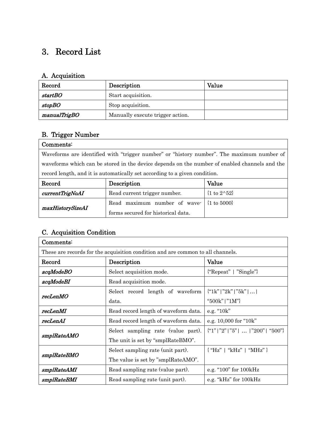# 3. Record List

### A. Acquisition

| Record        | Description                      | Value |
|---------------|----------------------------------|-------|
| startBO       | Start acquisition.               |       |
| <i>stopBO</i> | Stop acquisition.                |       |
| manualTrigBO  | Manually execute trigger action. |       |

# B. Trigger Number

| Comments:                                                                                     |                                                                                           |  |  |
|-----------------------------------------------------------------------------------------------|-------------------------------------------------------------------------------------------|--|--|
|                                                                                               | Waveforms are identified with "trigger number" or "history number". The maximum number of |  |  |
| waveforms which can be stored in the device depends on the number of enabled channels and the |                                                                                           |  |  |
| record length, and it is automatically set according to a given condition.                    |                                                                                           |  |  |
| $D_{\text{exact}}$                                                                            | $\mathbf{D}_{\text{e}}$                                                                   |  |  |

| Record           | Description                                            | Value                            |
|------------------|--------------------------------------------------------|----------------------------------|
| currentTrigNoAI  | Read current trigger number.                           | $\{1 \text{ to } 2^{\wedge}52\}$ |
| maxHistorySizeAI | Read maximum number of wave $ \{1 \text{ to } 5000\} $ |                                  |
|                  | forms secured for historical data.                     |                                  |

# C. Acquisition Condition

| Comments:                                                                       |                                      |                                          |  |
|---------------------------------------------------------------------------------|--------------------------------------|------------------------------------------|--|
| These are records for the acquisition condition and are common to all channels. |                                      |                                          |  |
| Record                                                                          | Description                          | Value                                    |  |
| acqModeBO                                                                       | Select acquisition mode.             | $\{$ "Repeat"   "Single"}                |  |
| acqModeBI                                                                       | Read acquisition mode.               |                                          |  |
| recLenMO                                                                        | Select record length of waveform     | ${``1k"   "2k"   "5k"     }$             |  |
|                                                                                 | data.                                | "500k"   " $1M$ "}                       |  |
| recLenMI                                                                        | Read record length of waveform data. | e.g. $"10k"$                             |  |
| recLenAI                                                                        | Read record length of waveform data. | e.g. 10,000 for "10k"                    |  |
|                                                                                 | Select sampling rate (value part).   | $\{$ "1"   "2"   "5"      "200"   "500"} |  |
| smplRateAMO                                                                     | The unit is set by "smplRateBMO".    |                                          |  |
|                                                                                 | Select sampling rate (unit part).    | $\{$ "Hz"   "kHz"   "MHz" }              |  |
| smplRateBMO                                                                     | The value is set by "smplRateAMO".   |                                          |  |
| smplRateAMI                                                                     | Read sampling rate (value part).     | e.g. "100" for 100kHz                    |  |
| smplRateBMI                                                                     | Read sampling rate (unit part).      | e.g. "kHz" for 100kHz                    |  |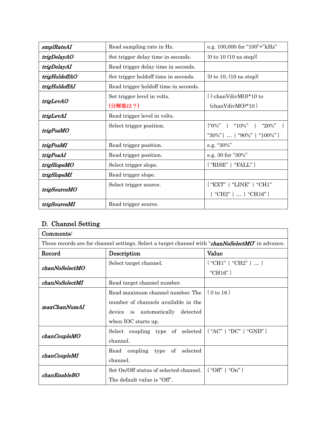| smplRateAI    | Read sampling rate in Hz.             | e.g. 100,000 for "100"+"kHz"              |
|---------------|---------------------------------------|-------------------------------------------|
| trigDelayAO   | Set trigger delay time in seconds.    | {0 to 10 (10 ns step)}                    |
| trigDelayAI   | Read trigger delay time in seconds.   |                                           |
| trigHoldoffAO | Set trigger holdoff time in seconds.  | {0 to 10, $(10 \text{ ns step})$ }        |
| trigHoldoffAI | Read trigger holdoff time in seconds. |                                           |
|               | Set trigger level in volts.           | $\{(-\text{chanVdivMO})^*\}$ to           |
| trigLevAO     | (分解能は?)                               | $\{\text{chanVdivMO}\}^*10$               |
| trigLevAI     | Read trigger level in volts.          |                                           |
|               | Select trigger position.              | $\{``0\%" \quad  $<br>"10%"<br>" $20\%$ " |
| trigPosMO     |                                       | "30%"      "90%"   "100%" }               |
| trigPosMI     | Read trigger position.                | e.g. "30%"                                |
| trigPosAI     | Read trigger position.                | e.g. 30 for "30%"                         |
| trigSlopeMO   | Select trigger slope.                 | ${^{\circ}}RISE"   "FALL" }$              |
| trigSlopeMI   | Read trigger slope.                   |                                           |
| trigSourceMO  | Select trigger source.                | $\{$ "EXT"   "LINE"   "CH1"               |
|               |                                       | "CH2"      "CH16" }                       |
| trigSourceMI  | Read trigger source.                  |                                           |

# D. Channel Setting

| Comment:                                                                                          |                                                                |                        |  |
|---------------------------------------------------------------------------------------------------|----------------------------------------------------------------|------------------------|--|
| These records are for channel settings. Select a target channel with "chanNoSelectMO" in advance. |                                                                |                        |  |
| Record                                                                                            | Description                                                    | Value                  |  |
| chanNoSelectMO                                                                                    | Select target channel.                                         | $\{$ "CH1"   "CH2"     |  |
|                                                                                                   |                                                                | "CH $16$ "}            |  |
| chanNoSelectMI                                                                                    | Read target channel number.                                    |                        |  |
|                                                                                                   | Read maximum channel number. The                               | $\{0 \text{ to } 16\}$ |  |
|                                                                                                   | number of channels available in the                            |                        |  |
| maxChanNumAI                                                                                      | device is automatically detected                               |                        |  |
|                                                                                                   | when IOC starts up.                                            |                        |  |
|                                                                                                   | Select coupling type of selected $\{$ "AC"   "DC"   "GND" $\}$ |                        |  |
| chanCoupleMO                                                                                      | channel.                                                       |                        |  |
|                                                                                                   | Read coupling type of selected                                 |                        |  |
| chan CoupleMI                                                                                     | channel.                                                       |                        |  |
|                                                                                                   | Set On/Off status of selected channel.                         | $\{$ "Off"   "On" }    |  |
| chanEnableBO                                                                                      | The default value is "Off".                                    |                        |  |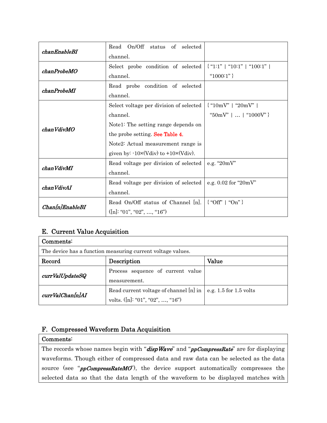| chanEnableBI    | Read On/Off status of selected                         |                               |
|-----------------|--------------------------------------------------------|-------------------------------|
|                 | channel.                                               |                               |
|                 | Select probe condition of selected                     | $\{$ "1:1"   "10:1"   "100:1" |
| chanProbeMO     | channel.                                               | " $1000:1"$ }                 |
|                 | Read probe condition of selected                       |                               |
| chanProbeMI     | channel.                                               |                               |
|                 | Select voltage per division of selected                | $\{$ "10mV"   "20mV"          |
|                 | channel.                                               | "50mV"      "1000V" }         |
| chanVdivMO      | Notel: The setting range depends on                    |                               |
|                 | the probe setting. See Table 4.                        |                               |
|                 | Note2: Actual measurement range is                     |                               |
|                 | given by: $-10 \times (Vdiv)$ to $+10 \times (Vdiv)$ . |                               |
| chanVdivMI      | Read voltage per division of selected                  | e.g. " $20mV$ "               |
|                 | channel.                                               |                               |
| chanVdivAI      | Read voltage per division of selected                  | e.g. $0.02$ for " $20mV$ "    |
|                 | channel.                                               |                               |
| Chan[n]EnableBI | Read On/Off status of Channel  n .                     | $\{$ "Off"   "On" }           |
|                 | ([n]: "01", "02", , "16")                              |                               |

#### E. Current Value Acquisition

| Comments:                                                   |                                        |                            |  |  |
|-------------------------------------------------------------|----------------------------------------|----------------------------|--|--|
| The device has a function measuring current voltage values. |                                        |                            |  |  |
| Record                                                      | Description                            | Value                      |  |  |
| currValUpdateSQ                                             | Process sequence of current value      |                            |  |  |
|                                                             | measurement.                           |                            |  |  |
| currValChan[n]AI                                            | Read current voltage of channel [n] in | e.g. $1.5$ for $1.5$ volts |  |  |
|                                                             | volts. $([n]: "01", "02", , "16")$     |                            |  |  |

#### F. Compressed Waveform Data Acquisition

#### Comments:

The records whose names begin with "dispWave" and "ppCompressRate" are for displaying waveforms. Though either of compressed data and raw data can be selected as the data source (see " $ppCompressRateMO$ ), the device support automatically compresses the selected data so that the data length of the waveform to be displayed matches with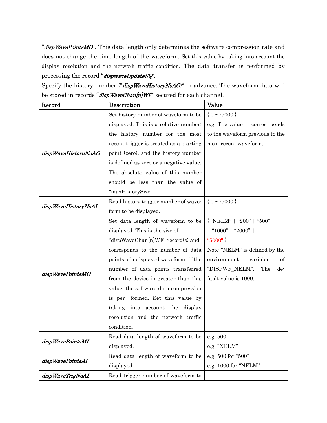"dispWavePointsMO'. This data length only determines the software compression rate and does not change the time length of the waveform. Set this value by taking into account the display resolution and the network traffic condition. The data transfer is performed by processing the record "dispwaveUpdateSQ".

Specify the history number ("dispWaveHistoryNoAO)" in advance. The waveform data will be stored in records "dispWaveChan[n]WF" secured for each channel.

| Record              | Description                             | Value                           |
|---------------------|-----------------------------------------|---------------------------------|
|                     | Set history number of waveform to be    | ${0 \sim -5000}$                |
|                     | displayed. This is a relative number;   | e.g. The value -1 corres- ponds |
|                     | the history number for the most         | to the waveform previous to the |
|                     | recent trigger is treated as a starting | most recent waveform.           |
| dispWaveHistoruNoAO | point (zero), and the history number    |                                 |
|                     | is defined as zero or a negative value. |                                 |
|                     | The absolute value of this number       |                                 |
|                     | should be less than the value of        |                                 |
|                     | "maxHistorySize".                       |                                 |
| dispWaveHistoryNoAI | Read history trigger number of wave-    | ${0 \sim -5000}$                |
|                     | form to be displayed.                   |                                 |
|                     | Set data length of waveform to be       | { "NELM"   "200"   "500"        |
|                     | displayed. This is the size of          | "1000"   "2000"                 |
|                     | "dispWaveChan[n]WF" record(s) and       | "5000"}                         |
|                     | corresponds to the number of data       | Note "NELM" is defined by the   |
|                     | points of a displayed waveform. If the  | environment<br>variable<br>οf   |
| dispWavePointsMO    | number of data points transferred       | "DISPWF_NELM".<br>The<br>de-    |
|                     | from the device is greater than this    | fault value is 1000.            |
|                     | value, the software data compression    |                                 |
|                     | is per-formed. Set this value by        |                                 |
|                     | taking into account the display         |                                 |
|                     | resolution and the network traffic      |                                 |
|                     | condition.                              |                                 |
| dispWavePointsMI    | Read data length of waveform to be      | e.g. 500                        |
|                     | displayed.                              | e.g. "NELM"                     |
| dispWavePointsAI    | Read data length of waveform to be      | e.g. 500 for "500"              |
|                     | displayed.                              | e.g. 1000 for "NELM"            |
| dispWaveTrigNoAI    | Read trigger number of waveform to      |                                 |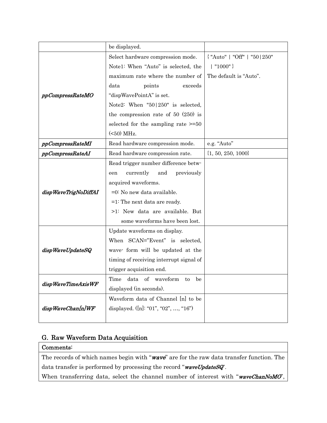|                      | be displayed.                            |                                  |
|----------------------|------------------------------------------|----------------------------------|
|                      | Select hardware compression mode.        | $\{$ "Auto"   "Off"   "50   250" |
|                      | Note1: When "Auto" is selected, the      | $  "1000" \}$                    |
|                      | maximum rate where the number of         | The default is "Auto".           |
|                      | points<br>data<br>exceeds                |                                  |
| ppCompressRateMO     | "dispWavePointA" is set.                 |                                  |
|                      | Note2: When "50   250" is selected,      |                                  |
|                      | the compression rate of 50 $(250)$ is    |                                  |
|                      | selected for the sampling rate $\geq 50$ |                                  |
|                      | ( <b>50</b> ) MHz.                       |                                  |
| ppCompressRateMI     | Read hardware compression mode.          | e.g. "Auto"                      |
| ppCompressRateAI     | Read hardware compression rate.          | $\{1, 50, 250, 1000\}$           |
|                      | Read trigger number difference betw-     |                                  |
|                      | currently<br>and<br>previously<br>een    |                                  |
|                      | acquired waveforms.                      |                                  |
| dispWaveTrigNoDiffAI | =0: No new data available.               |                                  |
|                      | $=1$ : The next data are ready.          |                                  |
|                      | >1: New data are available. But          |                                  |
|                      | some waveforms have been lost.           |                                  |
|                      | Update waveforms on display.             |                                  |
|                      | When SCAN="Event" is selected,           |                                  |
| dispWaveUpdateSQ     | wave form will be updated at the         |                                  |
|                      | timing of receiving interrupt signal of  |                                  |
|                      | trigger acquisition end.                 |                                  |
| dispWaveTimeAxisWF   | Time data of waveform to be              |                                  |
|                      | displayed (in seconds).                  |                                  |
|                      | Waveform data of Channel [n] to be       |                                  |
| dispWaveChan[n]WF    | displayed. $([n]: "01", "02", , "16")$   |                                  |
|                      |                                          |                                  |

#### G. Raw Waveform Data Acquisition

#### Comments:

The records of which names begin with "wave" are for the raw data transfer function. The data transfer is performed by processing the record "waveUpdateSQ'.

When transferring data, select the channel number of interest with "waveChanNoMO",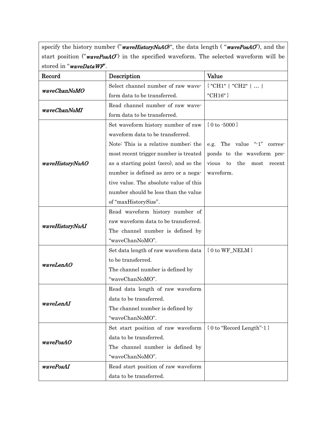specify the history number ("waveHistoryNoAO)", the data length ("wavePosAO"), and the start position (" $wavePosAO$ ") in the specified waveform. The selected waveform will be stored in "waveDataWF".

| Record          | Description                            | Value                                   |
|-----------------|----------------------------------------|-----------------------------------------|
| waveChanNoMO    | Select channel number of raw wave-     | $\{$ "CH1"   "CH2"                      |
|                 | form data to be transferred.           | "CH16" }                                |
| waveChanNoMI    | Read channel number of raw wave-       |                                         |
|                 | form data to be transferred.           |                                         |
|                 | Set waveform history number of raw     | ${0 to -5000}$                          |
|                 | waveform data to be transferred.       |                                         |
|                 | Note: This is a relative number; the   | e.g. The value "-1" corres-             |
|                 | most recent trigger number is treated  | ponds to the waveform pre-              |
| waveHistoryNoAO | as a starting point (zero), and so the | vious<br>to<br>the<br>most<br>recent    |
|                 | number is defined as zero or a nega-   | waveform.                               |
|                 | tive value. The absolute value of this |                                         |
|                 | number should be less than the value   |                                         |
|                 | of "maxHistorySize".                   |                                         |
|                 | Read waveform history number of        |                                         |
|                 | raw waveform data to be transferred.   |                                         |
| waveHistoryNoAI | The channel number is defined by       |                                         |
|                 | "waveChanNoMO".                        |                                         |
|                 | Set data length of raw waveform data   | $\{0 \text{ to WF\_NELM}\}$             |
| waveLenAO       | to be transferred.                     |                                         |
|                 | The channel number is defined by       |                                         |
|                 | "waveChanNoMO".                        |                                         |
|                 | Read data length of raw waveform       |                                         |
| waveLenAI       | data to be transferred.                |                                         |
|                 | The channel number is defined by       |                                         |
|                 | "waveChanNoMO".                        |                                         |
|                 | Set start position of raw waveform     | $\{0 \text{ to "Record Length" - } 1\}$ |
| wavePosAO       | data to be transferred.                |                                         |
|                 | The channel number is defined by       |                                         |
|                 | "waveChanNoMO".                        |                                         |
| wavePosAI       | Read start position of raw waveform    |                                         |
|                 | data to be transferred.                |                                         |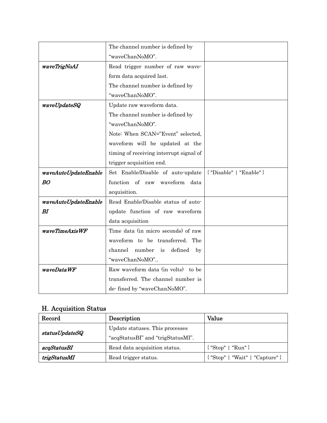|                      | The channel number is defined by        |                           |
|----------------------|-----------------------------------------|---------------------------|
|                      | "waveChanNoMO".                         |                           |
| waveTrigNoAI         | Read trigger number of raw wave-        |                           |
|                      | form data acquired last.                |                           |
|                      | The channel number is defined by        |                           |
|                      | "waveChanNoMO".                         |                           |
| waveUpdateSQ         | Update raw waveform data.               |                           |
|                      | The channel number is defined by        |                           |
|                      | "waveChanNoMO".                         |                           |
|                      | Note: When SCAN="Event" selected,       |                           |
|                      | waveform will be updated at the         |                           |
|                      | timing of receiving interrupt signal of |                           |
|                      | trigger acquisition end.                |                           |
| waveAutoUpdateEnable | Set Enable/Disable of auto-update       | ${''}Disable"   "Enable"$ |
| <b>BO</b>            | function of raw waveform<br>data        |                           |
|                      | acquisition.                            |                           |
| waveAutoUpdateEnable | Read Enable/Disable status of auto-     |                           |
| BI                   | update function of raw waveform         |                           |
|                      | data acquisition                        |                           |
| waveTimeAxisWF       | Time data (in micro seconds) of raw     |                           |
|                      | waveform to be transferred. The         |                           |
|                      | number is<br>defined<br>channel<br>by   |                           |
|                      | "waveChanNoMO"                          |                           |
| waveDataWF           | Raw waveform data (in volts) to be      |                           |
|                      | transferred. The channel number is      |                           |
|                      |                                         |                           |

### H. Acquisition Status

| Record         | Description                       | Value                              |
|----------------|-----------------------------------|------------------------------------|
| statusUpdateSQ | Update statuses. This processes   |                                    |
|                | "acqStatusBI" and "trigStatusMI". |                                    |
| acqStatusBI    | Read data acquisition status.     | $\{$ "Stop"   "Run" }              |
| trigStatusMI   | Read trigger status.              | $\{$ "Stop"   "Wait"   "Capture" } |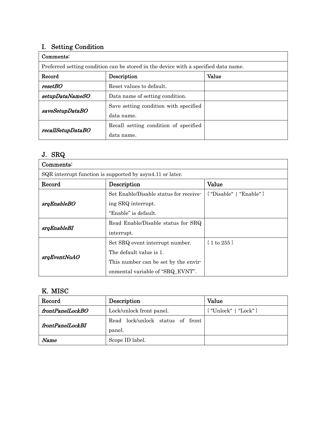### I. Setting Condition

| Comments:                                                                           |                                       |       |
|-------------------------------------------------------------------------------------|---------------------------------------|-------|
| Preferred setting condition can be stored in the device with a specified data name. |                                       |       |
| Record                                                                              | Description                           | Value |
| resetBO                                                                             | Reset values to default.              |       |
| setupDataNameSO                                                                     | Data name of setting condition.       |       |
| saveSetupDataBO                                                                     | Save setting condition with specified |       |
|                                                                                     | data name.                            |       |
| recallSetupDataBO                                                                   | Recall setting condition of specified |       |
|                                                                                     | data name.                            |       |

# J. SRQ

| Comments:                                                 |                                        |                             |
|-----------------------------------------------------------|----------------------------------------|-----------------------------|
| SQR interrupt function is supported by asyn4.11 or later. |                                        |                             |
| Record                                                    | Description                            | Value                       |
|                                                           | Set Enable/Disable status for receive- | $\{$ "Disable"   "Enable" } |
| srqEnableBO                                               | ing SRQ interrupt.                     |                             |
|                                                           | "Enable" is default.                   |                             |
| srqEnableBI                                               | Read Enable/Disable status for SRQ     |                             |
|                                                           | interrupt.                             |                             |
|                                                           | Set SRQ event interrupt number.        | $\{1 \text{ to } 255\}$     |
| srqEventNoAO                                              | The default value is 1.                |                             |
|                                                           | This number can be set by the envir-   |                             |
|                                                           | onmental variable of "SRQ_EVNT".       |                             |

#### K. MISC

| Record           | Description                                | Value                             |
|------------------|--------------------------------------------|-----------------------------------|
| frontPanelLockBO | Lock/unlock front panel.                   | ${^{\prime}}$ "Unlock"   "Lock" } |
| frontPanelLockBI | Read lock/unlock status of front<br>panel. |                                   |
| Name             | Scope ID label.                            |                                   |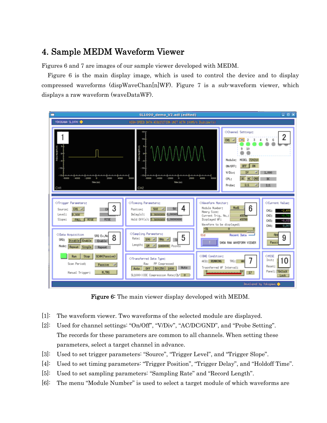# 4. Sample MEDM Waveform Viewer

Figures 6 and 7 are images of our sample viewer developed with MEDM.

Figure 6 is the main display image, which is used to control the device and to display compressed waveforms (dispWaveChan[n]WF). Figure 7 is a sub-waveform viewer, which displays a raw waveform (waveDataWF).



Figure 6: The main viewer display developed with MEDM.

- [1]: The waveform viewer. Two waveforms of the selected module are displayed.
- [2]: Used for channel settings: "On/Off", "V/Div", "AC/DC/GND", and "Probe Setting". The records for these parameters are common to all channels. When setting these parameters, select a target channel in advance.
- [3]: Used to set trigger parameters: "Source", "Trigger Level", and "Trigger Slope".
- [4]: Used to set timing parameters: "Trigger Position", "Trigger Delay", and "Holdoff Time".
- [5]: Used to set sampling parameters: "Sampling Rate" and "Record Length".
- [6]: The menu "Module Number" is used to select a target module of which waveforms are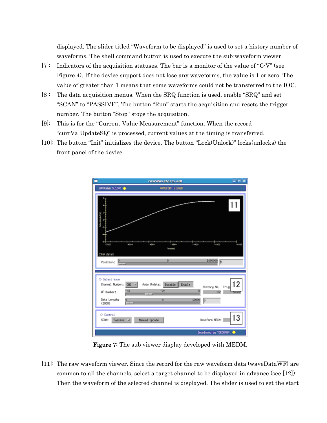displayed. The slider titled "Waveform to be displayed" is used to set a history number of waveforms. The shell command button is used to execute the sub-waveform viewer.

- [7]: Indicators of the acquisition statuses. The bar is a monitor of the value of "C-V" (see Figure 4). If the device support does not lose any waveforms, the value is 1 or zero. The value of greater than 1 means that some waveforms could not be transferred to the IOC.
- [8]: The data acquisition menus. When the SRQ function is used, enable "SRQ" and set "SCAN" to "PASSIVE". The button "Run" starts the acquisition and resets the trigger number. The button "Stop" stops the acquisition.
- [9]: This is for the "Current Value Measurement" function. When the record "currValUpdateSQ" is processed, current values at the timing is transferred.
- [10]: The button "Init" initializes the device. The button "Lock(Unlock)" locks(unlocks) the front panel of the device.



Figure 7: The sub viewer display developed with MEDM.

[11]: The raw waveform viewer. Since the record for the raw waveform data (waveDataWF) are common to all the channels, select a target channel to be displayed in advance (see [12]). Then the waveform of the selected channel is displayed. The slider is used to set the start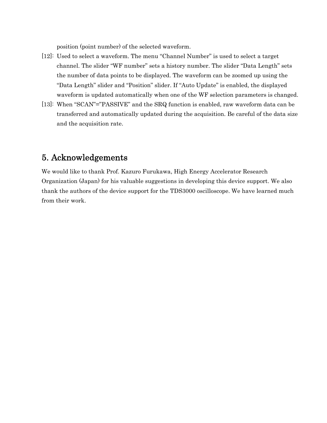position (point number) of the selected waveform.

- [12]: Used to select a waveform. The menu "Channel Number" is used to select a target channel. The slider "WF number" sets a history number. The slider "Data Length" sets the number of data points to be displayed. The waveform can be zoomed up using the "Data Length" slider and "Position" slider. If "Auto Update" is enabled, the displayed waveform is updated automatically when one of the WF selection parameters is changed.
- [13]: When "SCAN"="PASSIVE" and the SRQ function is enabled, raw waveform data can be transferred and automatically updated during the acquisition. Be careful of the data size and the acquisition rate.

## 5. Acknowledgements

We would like to thank Prof. Kazuro Furukawa, High Energy Accelerator Research Organization (Japan) for his valuable suggestions in developing this device support. We also thank the authors of the device support for the TDS3000 oscilloscope. We have learned much from their work.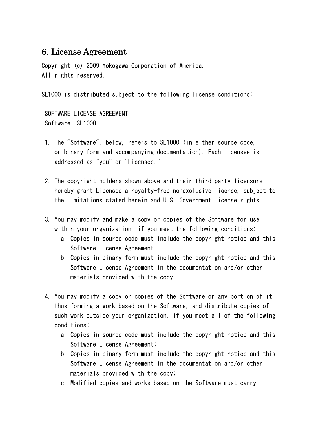# 6. License Agreement

Copyright (c) 2009 Yokogawa Corporation of America. All rights reserved.

SL1000 is distributed subject to the following license conditions:

 SOFTWARE LICENSE AGREEMENT Software: SL1000

- 1. The "Software", below, refers to SL1000 (in either source code, or binary form and accompanying documentation). Each licensee is addressed as "you" or "Licensee."
- 2. The copyright holders shown above and their third-party licensors hereby grant Licensee a royalty-free nonexclusive license, subject to the limitations stated herein and U.S. Government license rights.
- 3. You may modify and make a copy or copies of the Software for use within your organization, if you meet the following conditions:
	- a. Copies in source code must include the copyright notice and this Software License Agreement.
	- b. Copies in binary form must include the copyright notice and this Software License Agreement in the documentation and/or other materials provided with the copy.
- 4. You may modify a copy or copies of the Software or any portion of it, thus forming a work based on the Software, and distribute copies of such work outside your organization, if you meet all of the following conditions:
	- a. Copies in source code must include the copyright notice and this Software License Agreement;
	- b. Copies in binary form must include the copyright notice and this Software License Agreement in the documentation and/or other materials provided with the copy;
	- c. Modified copies and works based on the Software must carry